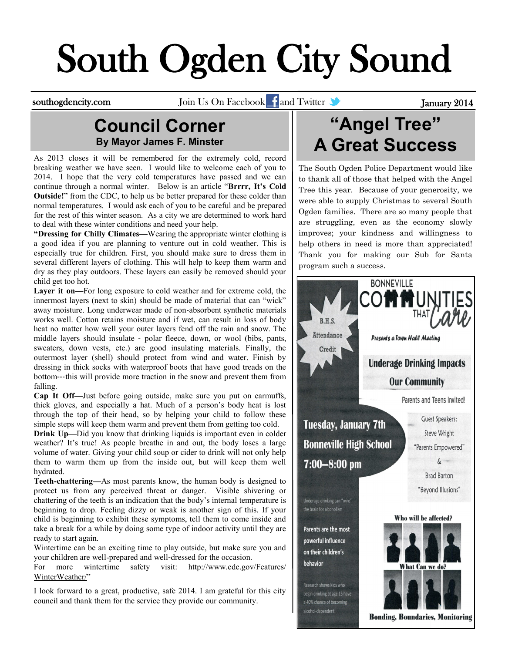# South Ogden City Sound

southogdencity.com Join Us On Facebook and Twitter **State of Tanuary 2014** 

#### **Council Corner By Mayor James F. Minster**

As 2013 closes it will be remembered for the extremely cold, record breaking weather we have seen. I would like to welcome each of you to 2014. I hope that the very cold temperatures have passed and we can continue through a normal winter. Below is an article "**Brrrr, It's Cold Outside!**" from the CDC, to help us be better prepared for these colder than normal temperatures. I would ask each of you to be careful and be prepared for the rest of this winter season. As a city we are determined to work hard to deal with these winter conditions and need your help.

**"Dressing for Chilly Climates—**Wearing the appropriate winter clothing is a good idea if you are planning to venture out in cold weather. This is especially true for children. First, you should make sure to dress them in several different layers of clothing. This will help to keep them warm and dry as they play outdoors. These layers can easily be removed should your child get too hot.

**Layer it on—**For long exposure to cold weather and for extreme cold, the innermost layers (next to skin) should be made of material that can "wick" away moisture. Long underwear made of non‐absorbent synthetic materials works well. Cotton retains moisture and if wet, can result in loss of body heat no matter how well your outer layers fend off the rain and snow. The middle layers should insulate ‐ polar fleece, down, or wool (bibs, pants, sweaters, down vests, etc.) are good insulating materials. Finally, the outermost layer (shell) should protect from wind and water. Finish by dressing in thick socks with waterproof boots that have good treads on the bottom‐‐‐this will provide more traction in the snow and prevent them from falling.

**Cap It Off—**Just before going outside, make sure you put on earmuffs, thick gloves, and especially a hat. Much of a person's body heat is lost through the top of their head, so by helping your child to follow these simple steps will keep them warm and prevent them from getting too cold.

**Drink Up—Did** you know that drinking liquids is important even in colder weather? It's true! As people breathe in and out, the body loses a large volume of water. Giving your child soup or cider to drink will not only help them to warm them up from the inside out, but will keep them well hydrated.

**Teeth**‐**chattering—**As most parents know, the human body is designed to protect us from any perceived threat or danger. Visible shivering or chattering of the teeth is an indication that the body's internal temperature is beginning to drop. Feeling dizzy or weak is another sign of this. If your child is beginning to exhibit these symptoms, tell them to come inside and take a break for a while by doing some type of indoor activity until they are ready to start again.

Wintertime can be an exciting time to play outside, but make sure you and your children are well-prepared and well‐dressed for the occasion.

For more wintertime safety visit: [http://www.cdc.gov/Features/](http://www.cdc.gov/Features/WinterWeather/) [WinterWeather/"](http://www.cdc.gov/Features/WinterWeather/)

I look forward to a great, productive, safe 2014. I am grateful for this city council and thank them for the service they provide our community.

### **"Angel Tree" A Great Success**

The South Ogden Police Department would like to thank all of those that helped with the Angel Tree this year. Because of your generosity, we were able to supply Christmas to several South Ogden families. There are so many people that are struggling, even as the economy slowly improves; your kindness and willingness to help others in need is more than appreciated! Thank you for making our Sub for Santa program such a success.

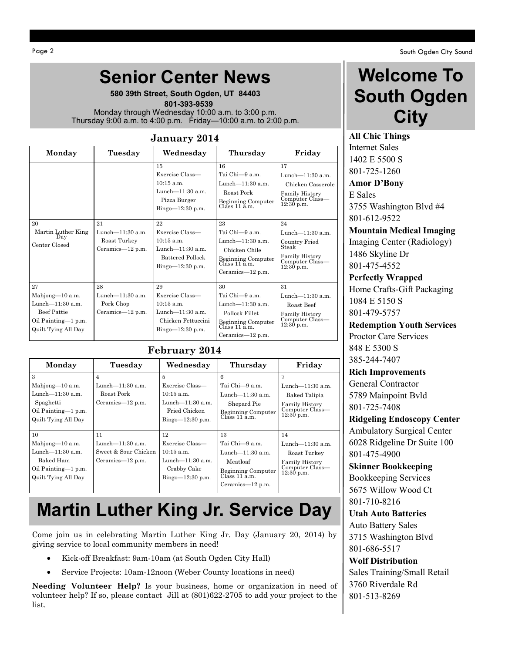## **Senior Center News**

**580 39th Street, South Ogden, UT 84403**  **801-393-9539** Monday through Wednesday 10:00 a.m. to 3:00 p.m. Thursday 9:00 a.m. to 4:00 p.m. Friday—10:00 a.m. to 2:00 p.m.

#### **January 2014**

| Monday                                                                                                           | Tuesday                                                       | Wednesday                                                                                                                                                                                                    | Thursday                                                                                                                                                                                                                       | Friday                                                                                                                                                                                                               |
|------------------------------------------------------------------------------------------------------------------|---------------------------------------------------------------|--------------------------------------------------------------------------------------------------------------------------------------------------------------------------------------------------------------|--------------------------------------------------------------------------------------------------------------------------------------------------------------------------------------------------------------------------------|----------------------------------------------------------------------------------------------------------------------------------------------------------------------------------------------------------------------|
| 20<br>Martin Luther King<br>Day<br>Center Closed                                                                 | 21<br>Lunch- $11:30$ a.m.<br>Roast Turkey<br>Ceramics-12 p.m. | 15<br>Exercise Class—<br>$10:15$ a.m.<br>Lunch- $11:30$ a.m.<br>Pizza Burger<br>$Bingo=12:30 p.m.$<br>22<br>Exercise Class-<br>$10:15$ a.m.<br>Lunch- $11:30$ a.m.<br>Battered Pollock<br>$Bingo=12:30 p.m.$ | 16<br>Tai Chi—9 a.m.<br>Lunch- $11:30$ a.m.<br>Roast Pork<br>Beginning Computer<br>Class 11 a.m.<br>23<br>Tai Chi—9 a.m.<br>Lunch- $11:30$ a.m.<br>Chicken Chile<br>Beginning Computer<br>Class 11 a.m.<br>Ceramics— $12$ p.m. | 17<br>Lunch- $11:30$ a.m.<br>Chicken Casserole<br>Family History<br>Computer Class—<br>$12:30$ p.m.<br>24<br>Lunch- $11:30$ a.m.<br>Country Fried<br>Steak<br><b>Family History</b><br>Computer Class-<br>12:30 p.m. |
| 27<br>Mahjong-10 a.m.<br>Lunch $-11:30$ a.m.<br><b>Beef Pattie</b><br>Oil Painting-1 p.m.<br>Quilt Tying All Day | 28<br>Lunch- $11:30$ a.m.<br>Pork Chop<br>Ceramics— $12$ p.m. | 29<br>Exercise Class-<br>$10:15$ a.m.<br>Lunch- $11:30$ a.m.<br>Chicken Fettuccini<br>$Bingo=12:30 p.m.$                                                                                                     | 30<br>Tai Chi—9 a.m.<br>Lunch- $11:30$ a.m.<br>Pollock Fillet<br>Beginning Computer<br>Class 11 a.m.<br>Ceramics— $12$ p.m.                                                                                                    | 31<br>Lunch- $11:30$ a.m.<br>Roast Beef<br>Family History<br>Computer Class—<br>12:30 p.m.                                                                                                                           |

#### **February 2014**

| Monday                                                                                                               | Tuesday                                                                  | Wednesday                                                                                           | Thursday                                                                                                        | Friday                                                                                         |
|----------------------------------------------------------------------------------------------------------------------|--------------------------------------------------------------------------|-----------------------------------------------------------------------------------------------------|-----------------------------------------------------------------------------------------------------------------|------------------------------------------------------------------------------------------------|
| 3<br>Mahjong-10 a.m.<br>Lunch—11:30 a.m.<br>Spaghetti<br>Oil Painting-1 p.m.<br>Quilt Tying All Day                  | 4<br>Lunch— $11:30$ a.m.<br>Roast Pork<br>Ceramics— $12$ p.m.            | 5<br>Exercise Class—<br>$10:15$ a.m.<br>Lunch $-11:30$ a.m.<br>Fried Chicken<br>Bingo $-12:30$ p.m. | 6<br>Tai Chi—9 a.m.<br>Lunch—11:30 a.m.<br>Shepard Pie<br>Beginning Computer<br>Class 11 a.m.                   | Lunch- $11:30$ a.m.<br>Baked Talipia<br>Family History<br>Computer Class-<br>$12:30$ p.m.      |
| 10 <sup>1</sup><br>Mahjong-10 a.m.<br>Lunch— $11:30$ a.m.<br>Baked Ham<br>Oil Painting-1 p.m.<br>Quilt Tying All Day | 11<br>Lunch $-11:30$ a.m.<br>Sweet & Sour Chicken<br>Ceramics— $12$ p.m. | 12<br>Exercise Class—<br>$10:15$ a.m.<br>Lunch—11:30 a.m.<br>Crabby Cake<br>$Bingo=12:30 p.m.$      | 13<br>Tai Chi-9 a.m.<br>Lunch—11:30 a.m.<br>Meatloaf<br>Beginning Computer<br>Class 11 a.m.<br>Ceramics—12 p.m. | 14<br>Lunch- $11:30$ a.m.<br>Roast Turkey<br>Family History<br>Computer Class-<br>$12:30$ p.m. |

### **Martin Luther King Jr. Service Day**

Come join us in celebrating Martin Luther King Jr. Day (January 20, 2014) by giving service to local community members in need!

- Kick-off Breakfast: 9am-10am (at South Ogden City Hall)
- Service Projects: 10am-12noon (Weber County locations in need)

**Needing Volunteer Help?** Is your business, home or organization in need of volunteer help? If so, please contact Jill at (801)622-2705 to add your project to the list.

### **Welcome To South Ogden City**

**All Chic Things** Internet Sales 1402 E 5500 S 801-725-1260 **Amor D'Bony**

E Sales 3755 Washington Blvd #4 801-612-9522

**Mountain Medical Imaging** Imaging Center (Radiology) 1486 Skyline Dr 801-475-4552

**Perfectly Wrapped** Home Crafts-Gift Packaging 1084 E 5150 S 801-479-5757

**Redemption Youth Services** Proctor Care Services 848 E 5300 S 385-244-7407

**Rich Improvements**

General Contractor 5789 Mainpoint Bvld 801-725-7408

**Ridgeling Endoscopy Center** Ambulatory Surgical Center 6028 Ridgeline Dr Suite 100 801-475-4900

**Skinner Bookkeeping**

Bookkeeping Services 5675 Willow Wood Ct 801-710-8216

#### **Utah Auto Batteries**

Auto Battery Sales 3715 Washington Blvd 801-686-5517

#### **Wolf Distribution**

Sales Training/Small Retail 3760 Riverdale Rd 801-513-8269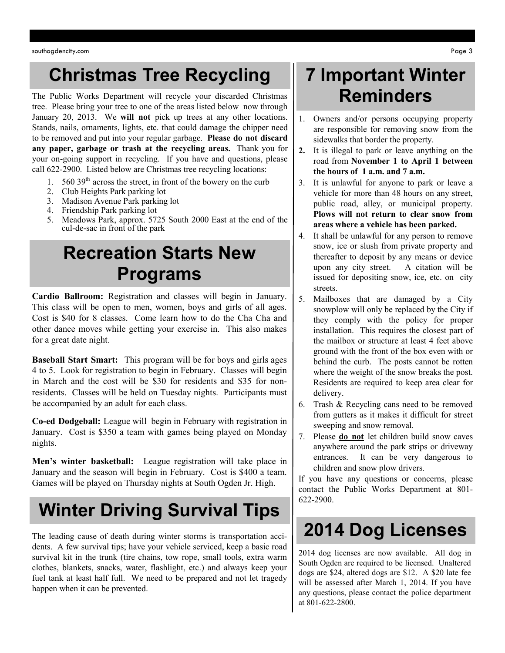### **Christmas Tree Recycling**

The Public Works Department will recycle your discarded Christmas tree. Please bring your tree to one of the areas listed below now through January 20, 2013. We **will not** pick up trees at any other locations. Stands, nails, ornaments, lights, etc. that could damage the chipper need to be removed and put into your regular garbage. **Please do not discard any paper, garbage or trash at the recycling areas.** Thank you for your on-going support in recycling. If you have and questions, please call 622-2900. Listed below are Christmas tree recycling locations:

- 1.  $560\,39<sup>th</sup>$  across the street, in front of the bowery on the curb
- 2. Club Heights Park parking lot
- 3. Madison Avenue Park parking lot
- 4. Friendship Park parking lot
- 5. Meadows Park, approx. 5725 South 2000 East at the end of the cul-de-sac in front of the park

#### **Recreation Starts New Programs**

**Cardio Ballroom:** Registration and classes will begin in January. This class will be open to men, women, boys and girls of all ages. Cost is \$40 for 8 classes. Come learn how to do the Cha Cha and other dance moves while getting your exercise in. This also makes for a great date night.

**Baseball Start Smart:** This program will be for boys and girls ages 4 to 5. Look for registration to begin in February. Classes will begin in March and the cost will be \$30 for residents and \$35 for nonresidents. Classes will be held on Tuesday nights. Participants must be accompanied by an adult for each class.

**Co-ed Dodgeball:** League will begin in February with registration in January. Cost is \$350 a team with games being played on Monday nights.

**Men's winter basketball:** League registration will take place in January and the season will begin in February. Cost is \$400 a team. Games will be played on Thursday nights at South Ogden Jr. High.

## **Winter Driving Survival Tips**

The leading cause of death during winter storms is transportation accidents. A few survival tips; have your vehicle serviced, keep a basic road survival kit in the trunk (tire chains, tow rope, small tools, extra warm clothes, blankets, snacks, water, flashlight, etc.) and always keep your fuel tank at least half full. We need to be prepared and not let tragedy happen when it can be prevented.

### **7 Important Winter Reminders**

- 1. Owners and/or persons occupying property are responsible for removing snow from the sidewalks that border the property.
- **2.** It is illegal to park or leave anything on the road from **November 1 to April 1 between the hours of 1 a.m. and 7 a.m.**
- 3. It is unlawful for anyone to park or leave a vehicle for more than 48 hours on any street, public road, alley, or municipal property. **Plows will not return to clear snow from areas where a vehicle has been parked.**
- 4. It shall be unlawful for any person to remove snow, ice or slush from private property and thereafter to deposit by any means or device upon any city street. A citation will be issued for depositing snow, ice, etc. on city streets.
- 5. Mailboxes that are damaged by a City snowplow will only be replaced by the City if they comply with the policy for proper installation. This requires the closest part of the mailbox or structure at least 4 feet above ground with the front of the box even with or behind the curb. The posts cannot be rotten where the weight of the snow breaks the post. Residents are required to keep area clear for delivery.
- 6. Trash & Recycling cans need to be removed from gutters as it makes it difficult for street sweeping and snow removal.
- 7. Please **do not** let children build snow caves anywhere around the park strips or driveway entrances. It can be very dangerous to children and snow plow drivers.

If you have any questions or concerns, please contact the Public Works Department at 801- 622-2900.

# **2014 Dog Licenses**

2014 dog licenses are now available. All dog in South Ogden are required to be licensed. Unaltered dogs are \$24, altered dogs are \$12. A \$20 late fee will be assessed after March 1, 2014. If you have any questions, please contact the police department at 801-622-2800.